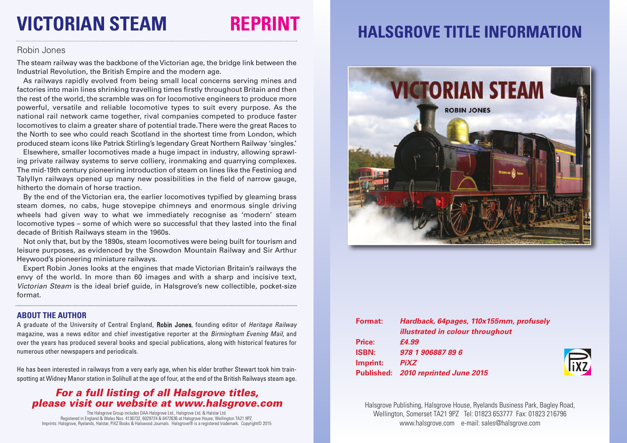# **VICTORIAN STEAM REPRINT**

#### Robin Jones

The steam railway was the backbone of the Victorian age, the bridge link between the Industrial Revolution, the British Empire and the modern age.

As railways rapidly evolved from being small local concerns serving mines and factories into main lines shrinking travelling times firstly throughout Britain and then the rest of the world, the scramble was on for locomotive engineers to produce more powerful, versatile and reliable locomotive types to suit every purpose. As the national rail network came together, rival companies competed to produce faster locomotives to claim a greater share of potential trade.There were the great Races to the North to see who could reach Scotland in the shortest time from London, which produced steam icons like Patrick Stirling's legendary Great Northern Railway 'singles.'

Elsewhere, smaller locomotives made a huge impact in industry, allowing sprawling private railway systems to serve colliery, ironmaking and quarrying complexes. The mid-19th century pioneering introduction of steam on lines like the Festiniog and Talyllyn railways opened up many new possibilities in the field of narrow gauge, hitherto the domain of horse traction.

By the end of the Victorian era, the earlier locomotives typified by gleaming brass steam domes, no cabs, huge stovepipe chimneys and enormous single driving wheels had given way to what we immediately recognise as 'modern' steam locomotive types – some of which were so successful that they lasted into the final decade of British Railways steam in the 1960s.

Not only that, but by the 1890s, steam locomotives were being built for tourism and leisure purposes, as evidenced by the Snowdon Mountain Railway and Sir Arthur Heywood's pioneering miniature railways.

Expert Robin Jones looks at the engines that made Victorian Britain's railways the envy of the world. In more than 60 images and with a sharp and incisive text, *Victorian Steam* is the ideal brief guide, in Halsgrove's new collectible, pocket-size format.

#### **ABOUT THE AUTHOR**

A graduate of the University of Central England, Robin Jones, founding editor of *Heritage Railway* magazine, was a news editor and chief investigative reporter at the *Birmingham Evening Mail*, and over the years has produced several books and special publications, along with historical features for numerous other newspapers and periodicals.

He has been interested in railways from a very early age, when his elder brother Stewart took him trainspotting at Widney Manor station in Solihull at the age of four, at the end of the British Railways steam age.

### *For a full listing of all Halsgrove titles, please visit our website at www.halsgrove.com*

The Halsgrove Group includes DAA Halsgrove Ltd., Halsgrove Ltd. & Halstar Ltd. Registered in England & Wales Nos. 4136732, 6029724 & 6472636 at Halsgrove House, Wellington TA21 9PZ. Imprints: Halsgrove, Ryelands, Halstar, PiXZ Books & Halswood Journals. Halsgrove® is a registered trademark. Copyright© 2015

### **HALSGROVE TITLE INFORMATION**



| Format:      | Hardback, 64pages, 110x155mm, profusely |
|--------------|-----------------------------------------|
|              | <i>illustrated in colour throughout</i> |
| Price:       | £4.99                                   |
| <b>ISBN:</b> | 978 1 906887 89 6                       |
| Imprint:     | <b>PiXZ</b>                             |
|              | Published: 2010 reprinted June 2015     |



Halsgrove Publishing, Halsgrove House, Ryelands Business Park, Bagley Road, Wellington, Somerset TA21 9PZ Tel: 01823 653777 Fax: 01823 216796 www.halsgrove.com e-mail: sales@halsgrove.com